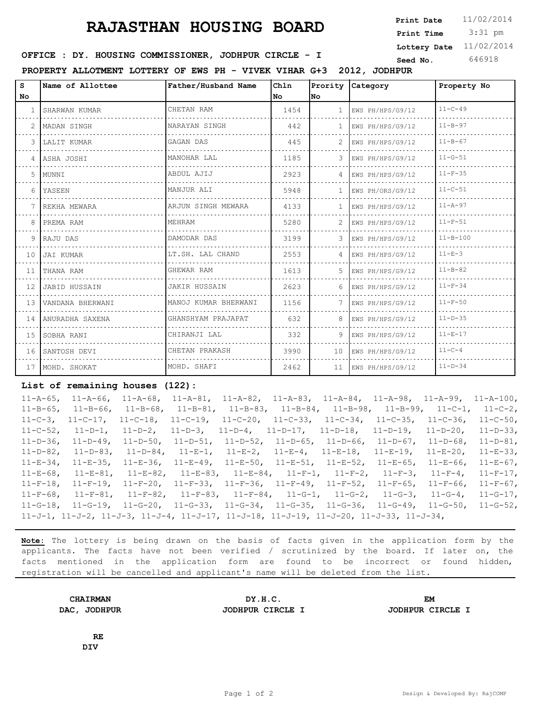## **RAJASTHAN HOUSING BOARD** Print Date 11/02/2014

 3:31 pm **Print Date Print Time Lottery Date** 11/02/2014

## **SEED IDER : DY. HOUSING COMMISSIONER, JODHPUR CIRCLE - I** Seed No. 646918

**PROPERTY ALLOTMENT LOTTERY OF EWS PH - VIVEK VIHAR G+3 2012, JODHPUR**

| S.              | Name of Allottee   | Father/Husband Name  | Chln | Prority        | Category              | Property No    |
|-----------------|--------------------|----------------------|------|----------------|-----------------------|----------------|
| No.             |                    |                      | No.  | lNo.           |                       |                |
|                 | SHARWAN KUMAR      | CHETAN RAM           | 1454 |                | EWS PH/HPS/G9/12      | $11 - C - 49$  |
|                 | MADAN SINGH        | NARAYAN SINGH        | 442  |                | EWS PH/HPS/G9/12      | $11 - B - 97$  |
| 3               | LALIT KUMAR        | GAGAN DAS            | 445  |                | EWS PH/HPS/G9/12      | $11 - B - 67$  |
|                 | 4   ASHA JOSHI     | MANOHAR LAL          | 1185 | $\mathcal{E}$  | EWS PH/HPS/G9/12      | $11 - G - 51$  |
| 5.              | MUNNI              | ABDUL AJIJ           | 2923 | 4              | EWS PH/HPS/G9/12      | $11-F-35$      |
| 6               | YASEEN             | MANJUR ALI           | 5948 | 1.             | EWS PH/ORS/G9/12      | $11 - C - 51$  |
|                 | REKHA MEWARA       | ARJUN SINGH MEWARA   | 4133 | $\mathbf{1}$   | EWS PH/HPS/G9/12      | $11 - A - 97$  |
| 8               | PREMA RAM          | MEHRAM               | 5280 | 2.             | EWS PH/HPS/G9/12      | $11 - F - 51$  |
|                 | 9 RAJU DAS         | DAMODAR DAS          | 3199 | 3              | EWS PH/HPS/G9/12      | $11 - B - 100$ |
| 10 <sup>1</sup> | JAI KUMAR          | LT.SH. LAL CHAND     | 2553 | $\overline{4}$ | EWS PH/HPS/G9/12      | $11 - E - 3$   |
| 11              | THANA RAM          | GHEWAR RAM           | 1613 | 5.             | EWS PH/HPS/G9/12      | $11 - B - 82$  |
| 12 <sup>7</sup> | JABID HUSSAIN      | JAKIR HUSSAIN        | 2623 |                | 6 $ EWS PH/HPS/G9/12$ | $11 - F - 34$  |
| 13 <sup>7</sup> | VANDANA BHERWANI   | MANOJ KUMAR BHERWANI | 1156 | 7              | EWS PH/HPS/G9/12      | $11 - F - 50$  |
|                 | 14 ANURADHA SAXENA | GHANSHYAM PRAJAPAT   | 632  | 8.             | EWS PH/HPS/G9/12      | $11 - D - 35$  |
|                 | 15 SOBHA RANI      | CHIRANJI LAL         | 332  | 9.             | EWS PH/HPS/G9/12      | $11 - E - 17$  |
|                 | 16 SANTOSH DEVI    | CHETAN PRAKASH       | 3990 | 10             | EWS PH/HPS/G9/12      | $11 - C - 4$   |
|                 | 17 MOHD. SHOKAT    | MOHD. SHAFI          | 2462 |                | 11 EWS PH/HPS/G9/12   | $11 - D - 34$  |

## **List of remaining houses (122):**

11-A-65, 11-A-66, 11-A-68, 11-A-81, 11-A-82, 11-A-83, 11-A-84, 11-A-98, 11-A-99, 11-A-100, 11-B-65, 11-B-66, 11-B-68, 11-B-81, 11-B-83, 11-B-84, 11-B-98, 11-B-99, 11-C-1, 11-C-2, 11-C-3, 11-C-17, 11-C-18, 11-C-19, 11-C-20, 11-C-33, 11-C-34, 11-C-35, 11-C-36, 11-C-50, 11-C-52, 11-D-1, 11-D-2, 11-D-3, 11-D-4, 11-D-17, 11-D-18, 11-D-19, 11-D-20, 11-D-33, 11-D-36, 11-D-49, 11-D-50, 11-D-51, 11-D-52, 11-D-65, 11-D-66, 11-D-67, 11-D-68, 11-D-81, 11-D-82, 11-D-83, 11-D-84, 11-E-1, 11-E-2, 11-E-4, 11-E-18, 11-E-19, 11-E-20, 11-E-33, 11-E-34, 11-E-35, 11-E-36, 11-E-49, 11-E-50, 11-E-51, 11-E-52, 11-E-65, 11-E-66, 11-E-67, 11-E-68, 11-E-81, 11-E-82, 11-E-83, 11-E-84, 11-F-1, 11-F-2, 11-F-3, 11-F-4, 11-F-17, 11-F-18, 11-F-19, 11-F-20, 11-F-33, 11-F-36, 11-F-49, 11-F-52, 11-F-65, 11-F-66, 11-F-67, 11-F-68, 11-F-81, 11-F-82, 11-F-83, 11-F-84, 11-G-1, 11-G-2, 11-G-3, 11-G-4, 11-G-17, 11-G-18, 11-G-19, 11-G-20, 11-G-33, 11-G-34, 11-G-35, 11-G-36, 11-G-49, 11-G-50, 11-G-52, 11-J-1, 11-J-2, 11-J-3, 11-J-4, 11-J-17, 11-J-18, 11-J-19, 11-J-20, 11-J-33, 11-J-34,

**Note:** The lottery is being drawn on the basis of facts given in the application form by the applicants. The facts have not been verified / scrutinized by the board. If later on, the facts mentioned in the application form are found to be incorrect or found hidden, registration will be cancelled and applicant's name will be deleted from the list.

| <b>CHAIRMAN</b>        | DY.H.C.          | ЕM               |
|------------------------|------------------|------------------|
| DAC,<br><b>JODHPUR</b> | JODHPUR CIRCLE I | JODHPUR CIRCLE I |

**RE DIV**